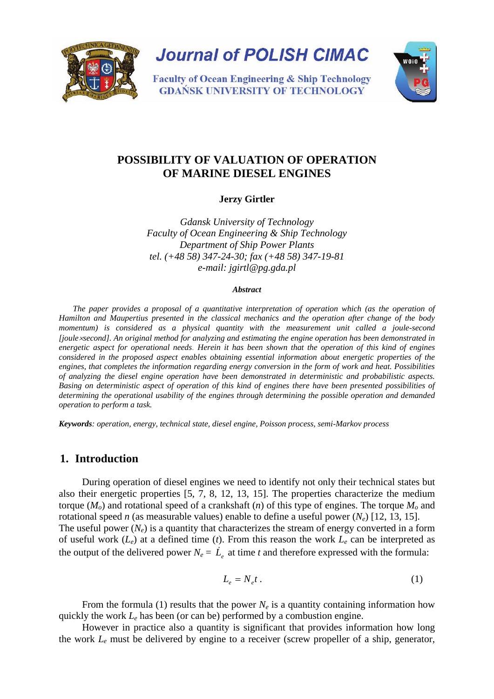

**Journal of POLISH CIMAC** 

**Faculty of Ocean Engineering & Ship Technology GDAŃSK UNIVERSITY OF TECHNOLOGY** 

# **POSSIBILITY OF VALUATION OF OPERATION OF MARINE DIESEL ENGINES**

**Jerzy Girtler**

*Gdansk University of Technology Faculty of Ocean Engineering & Ship Technology Department of Ship Power Plants tel. (+48 58) 347-24-30; fax (+48 58) 347-19-81 e-mail: jgirtl@pg.gda.pl*

#### *Abstract*

*The paper provides a proposal of a quantitative interpretation of operation which (as the operation of Hamilton and Maupertius presented in the classical mechanics and the operation after change of the body momentum) is considered as a physical quantity with the measurement unit called a joule-second [joule*×*second]. An original method for analyzing and estimating the engine operation has been demonstrated in energetic aspect for operational needs. Herein it has been shown that the operation of this kind of engines considered in the proposed aspect enables obtaining essential information about energetic properties of the engines, that completes the information regarding energy conversion in the form of work and heat. Possibilities of analyzing the diesel engine operation have been demonstrated in deterministic and probabilistic aspects. Basing on deterministic aspect of operation of this kind of engines there have been presented possibilities of determining the operational usability of the engines through determining the possible operation and demanded operation to perform a task.* 

*Keywords: operation, energy, technical state, diesel engine, Poisson process, semi-Markov process*

# **1. Introduction**

During operation of diesel engines we need to identify not only their technical states but also their energetic properties [5, 7, 8, 12, 13, 15]. The properties characterize the medium torque  $(M<sub>o</sub>)$  and rotational speed of a crankshaft (*n*) of this type of engines. The torque  $M<sub>o</sub>$  and rotational speed *n* (as measurable values) enable to define a useful power  $(N_e)$  [12, 13, 15]. The useful power  $(N_e)$  is a quantity that characterizes the stream of energy converted in a form of useful work (*Le*) at a defined time (*t*). From this reason the work *Le* can be interpreted as the output of the delivered power  $N_e = L_e$  at time *t* and therefore expressed with the formula:

$$
L_e = N_e t \,. \tag{1}
$$

From the formula (1) results that the power  $N_e$  is a quantity containing information how quickly the work *Le* has been (or can be) performed by a combustion engine.

However in practice also a quantity is significant that provides information how long the work *Le* must be delivered by engine to a receiver (screw propeller of a ship, generator,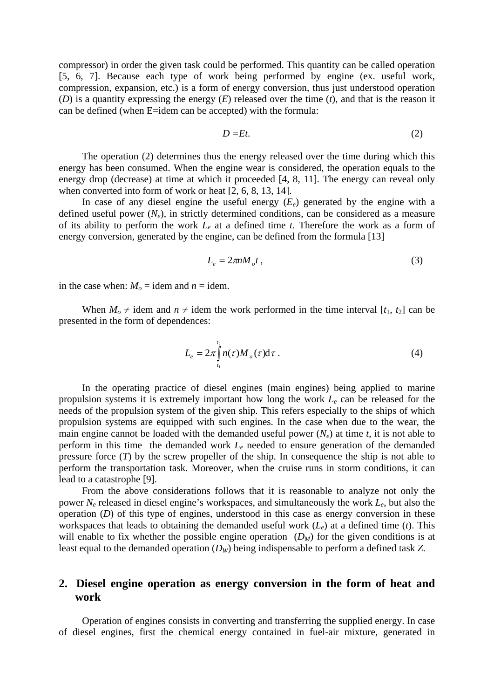compressor) in order the given task could be performed. This quantity can be called operation [5, 6, 7]. Because each type of work being performed by engine (ex. useful work, compression, expansion, etc.) is a form of energy conversion, thus just understood operation (*D*) is a quantity expressing the energy (*E*) released over the time (*t*), and that is the reason it can be defined (when E=idem can be accepted) with the formula:

$$
D=Et.\tag{2}
$$

The operation (2) determines thus the energy released over the time during which this energy has been consumed. When the engine wear is considered, the operation equals to the energy drop (decrease) at time at which it proceeded [4, 8, 11]. The energy can reveal only when converted into form of work or heat [2, 6, 8, 13, 14].

In case of any diesel engine the useful energy  $(E_e)$  generated by the engine with a defined useful power  $(N_e)$ , in strictly determined conditions, can be considered as a measure of its ability to perform the work *Le* at a defined time *t*. Therefore the work as a form of energy conversion, generated by the engine, can be defined from the formula [13]

$$
L_e = 2\pi n M_o t \,, \tag{3}
$$

in the case when:  $M_0$  = idem and  $n =$  idem.

When  $M_0 \neq$  idem and  $n \neq$  idem the work performed in the time interval [ $t_1$ ,  $t_2$ ] can be presented in the form of dependences:

$$
L_e = 2\pi \int_{t_1}^{t_2} n(\tau) M_o(\tau) d\tau . \tag{4}
$$

In the operating practice of diesel engines (main engines) being applied to marine propulsion systems it is extremely important how long the work *Le* can be released for the needs of the propulsion system of the given ship. This refers especially to the ships of which propulsion systems are equipped with such engines. In the case when due to the wear, the main engine cannot be loaded with the demanded useful power  $(N_e)$  at time *t*, it is not able to perform in this time the demanded work *Le* needed to ensure generation of the demanded pressure force (*T*) by the screw propeller of the ship. In consequence the ship is not able to perform the transportation task. Moreover, when the cruise runs in storm conditions, it can lead to a catastrophe [9].

From the above considerations follows that it is reasonable to analyze not only the power *Ne* released in diesel engine's workspaces, and simultaneously the work *Le*, but also the operation (*D*) of this type of engines, understood in this case as energy conversion in these workspaces that leads to obtaining the demanded useful work (*Le*) at a defined time (*t*). This will enable to fix whether the possible engine operation  $(D_M)$  for the given conditions is at least equal to the demanded operation (*DW*) being indispensable to perform a defined task *Z*.

# **2. Diesel engine operation as energy conversion in the form of heat and work**

Operation of engines consists in converting and transferring the supplied energy. In case of diesel engines, first the chemical energy contained in fuel-air mixture, generated in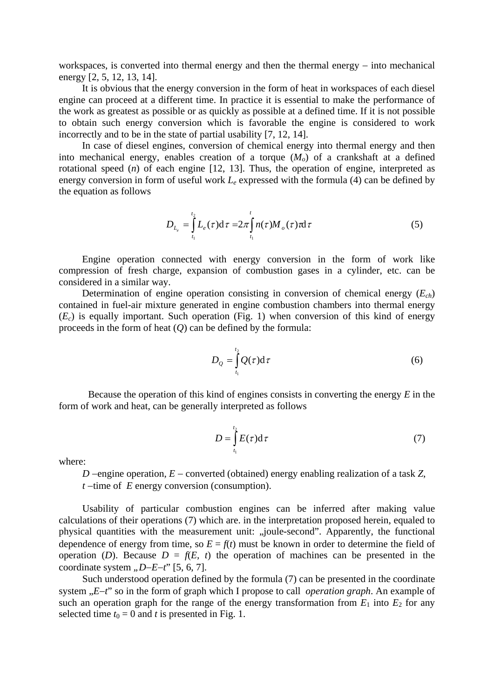workspaces, is converted into thermal energy and then the thermal energy – into mechanical energy [2, 5, 12, 13, 14].

It is obvious that the energy conversion in the form of heat in workspaces of each diesel engine can proceed at a different time. In practice it is essential to make the performance of the work as greatest as possible or as quickly as possible at a defined time. If it is not possible to obtain such energy conversion which is favorable the engine is considered to work incorrectly and to be in the state of partial usability [7, 12, 14].

In case of diesel engines, conversion of chemical energy into thermal energy and then into mechanical energy, enables creation of a torque  $(M<sub>o</sub>)$  of a crankshaft at a defined rotational speed (*n*) of each engine [12, 13]. Thus, the operation of engine, interpreted as energy conversion in form of useful work *Le* expressed with the formula (4) can be defined by the equation as follows

$$
D_{L_e} = \int_{t_1}^{t_2} L_e(\tau) d\tau = 2\pi \int_{t_1}^{t} n(\tau) M_o(\tau) \tau d\tau
$$
 (5)

Engine operation connected with energy conversion in the form of work like compression of fresh charge, expansion of combustion gases in a cylinder, etc. can be considered in a similar way.

Determination of engine operation consisting in conversion of chemical energy (*Ech*) contained in fuel-air mixture generated in engine combustion chambers into thermal energy  $(E<sub>c</sub>)$  is equally important. Such operation (Fig. 1) when conversion of this kind of energy proceeds in the form of heat  $(Q)$  can be defined by the formula:

$$
D_{Q} = \int_{t_1}^{t_2} Q(\tau) d\tau
$$
 (6)

Because the operation of this kind of engines consists in converting the energy *E* in the form of work and heat, can be generally interpreted as follows

$$
D = \int_{t_1}^{t_2} E(\tau) d\tau \tag{7}
$$

where:

*D* −engine operation, *E* − converted (obtained) energy enabling realization of a task *Z*, *t* −time of *E* energy conversion (consumption).

Usability of particular combustion engines can be inferred after making value calculations of their operations (7) which are. in the interpretation proposed herein, equaled to physical quantities with the measurement unit: "joule-second". Apparently, the functional dependence of energy from time, so  $E = f(t)$  must be known in order to determine the field of operation (*D*). Because  $D = f(E, t)$  the operation of machines can be presented in the coordinate system *"D*−*E*−*t*" [5, 6, 7].

Such understood operation defined by the formula (7) can be presented in the coordinate system "*E*−*t*" so in the form of graph which I propose to call *operation graph*. An example of such an operation graph for the range of the energy transformation from  $E_1$  into  $E_2$  for any selected time  $t_0 = 0$  and *t* is presented in Fig. 1.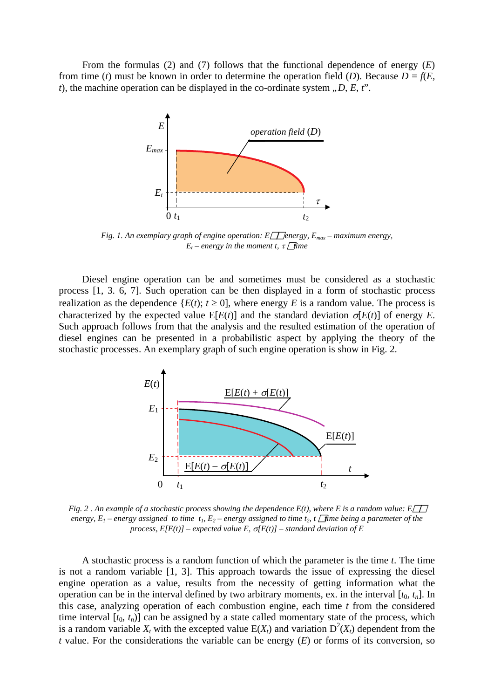From the formulas (2) and (7) follows that the functional dependence of energy (*E*) from time (*t*) must be known in order to determine the operation field (*D*). Because  $D = f(E,$ *t*), the machine operation can be displayed in the co-ordinate system  $D, E, t$ .



*Fig. 1. An exemplary graph of engine operation: E<sub><i>Penergy, E<sub>max</sub> – maximum energy,*</sub> *E<sub>t</sub>* – energy in the moment *t*,  $\tau$  *time* 

Diesel engine operation can be and sometimes must be considered as a stochastic process [1, 3. 6, 7]. Such operation can be then displayed in a form of stochastic process realization as the dependence  $\{E(t); t \geq 0\}$ , where energy *E* is a random value. The process is characterized by the expected value  $E[E(t)]$  and the standard deviation  $\sigma[E(t)]$  of energy *E*. Such approach follows from that the analysis and the resulted estimation of the operation of diesel engines can be presented in a probabilistic aspect by applying the theory of the stochastic processes. An exemplary graph of such engine operation is show in Fig. 2.



*Fig. 2. An example of a stochastic process showing the dependence*  $E(t)$ , where *E* is a random value:  $E[T]$ *energy, E<sub>1</sub> – energy assigned to time t<sub>1</sub>, E<sub>2</sub> – energy assigned to time t<sub>2</sub>, t <i>ine being a parameter of the process, E[E(t)] – expected value E,* σ*[E(t)] – standard deviation of E* 

A stochastic process is a random function of which the parameter is the time *t*. The time is not a random variable [1, 3]. This approach towards the issue of expressing the diesel engine operation as a value, results from the necessity of getting information what the operation can be in the interval defined by two arbitrary moments, ex. in the interval  $[t_0, t_n]$ . In this case, analyzing operation of each combustion engine, each time *t* from the considered time interval  $[t_0, t_n]$  can be assigned by a state called momentary state of the process, which is a random variable  $X_t$  with the excepted value  $E(X_t)$  and variation  $D^2(X_t)$  dependent from the *t* value. For the considerations the variable can be energy (*E*) or forms of its conversion, so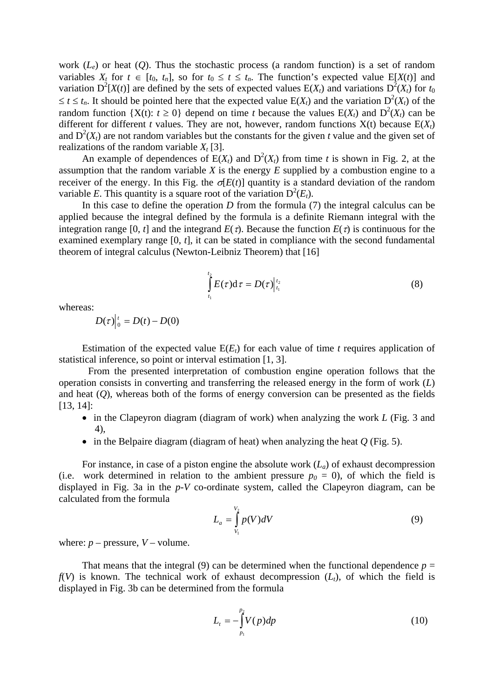work  $(L_e)$  or heat  $(0)$ . Thus the stochastic process (a random function) is a set of random variables  $X_t$  for  $t \in [t_0, t_n]$ , so for  $t_0 \le t \le t_n$ . The function's expected value  $E[X(t)]$  and variation  $D^2[X(t)]$  are defined by the sets of expected values  $E(X_t)$  and variations  $D^2(X_t)$  for  $t_0$  $\leq t \leq t_n$ . It should be pointed here that the expected value  $E(X_t)$  and the variation  $D^2(X_t)$  of the random function  $\{X(t): t \geq 0\}$  depend on time *t* because the values  $E(X_t)$  and  $D^2(X_t)$  can be different for different *t* values. They are not, however, random functions  $X(t)$  because  $E(X<sub>t</sub>)$ and  $D^2(X_t)$  are not random variables but the constants for the given *t* value and the given set of realizations of the random variable  $X_t$  [3].

An example of dependences of  $E(X_t)$  and  $D^2(X_t)$  from time *t* is shown in Fig. 2, at the assumption that the random variable *X* is the energy *E* supplied by a combustion engine to a receiver of the energy. In this Fig. the  $\sigma$ [*E*(*t*)] quantity is a standard deviation of the random variable E. This quantity is a square root of the variation  $D^2(E_t)$ .

In this case to define the operation *D* from the formula (7) the integral calculus can be applied because the integral defined by the formula is a definite Riemann integral with the integration range [0, *t*] and the integrand  $E(\tau)$ . Because the function  $E(\tau)$  is continuous for the examined exemplary range [0, *t*], it can be stated in compliance with the second fundamental theorem of integral calculus (Newton-Leibniz Theorem) that [16]

$$
\int_{t_1}^{t_2} E(\tau) d\tau = D(\tau) \Big|_{t_1}^{t_2} \tag{8}
$$

whereas:

 $D(\tau)\Big|_0^t = D(t) - D(0)$ 

Estimation of the expected value  $E(E_t)$  for each value of time *t* requires application of statistical inference, so point or interval estimation [1, 3].

From the presented interpretation of combustion engine operation follows that the operation consists in converting and transferring the released energy in the form of work (*L*) and heat (*Q*), whereas both of the forms of energy conversion can be presented as the fields [13, 14]:

- in the Clapeyron diagram (diagram of work) when analyzing the work *L* (Fig. 3 and 4),
- in the Belpaire diagram (diagram of heat) when analyzing the heat *Q* (Fig. 5).

For instance, in case of a piston engine the absolute work  $(L<sub>a</sub>)$  of exhaust decompression (i.e. work determined in relation to the ambient pressure  $p_0 = 0$ ), of which the field is displayed in Fig. 3a in the *p*-*V* co-ordinate system, called the Clapeyron diagram, can be calculated from the formula

$$
L_a = \int_{V_1}^{V_2} p(V) dV
$$
 (9)

where:  $p$  – pressure,  $V$  – volume.

That means that the integral (9) can be determined when the functional dependence  $p =$  $f(V)$  is known. The technical work of exhaust decompression  $(L_t)$ , of which the field is displayed in Fig. 3b can be determined from the formula

$$
L_t = -\int_{p_1}^{p_2} V(p) dp
$$
 (10)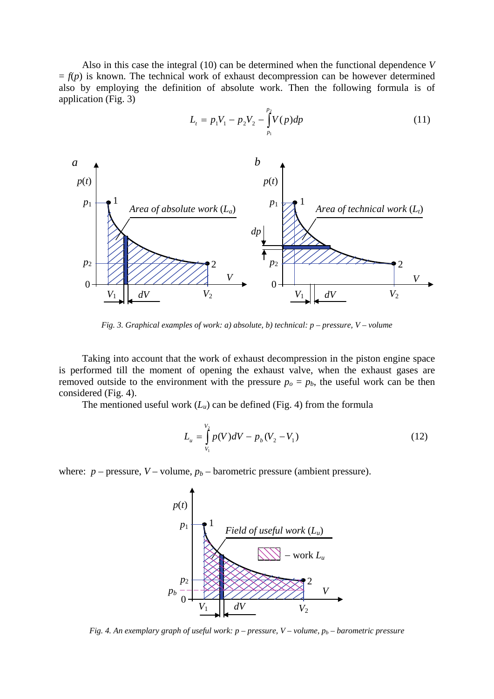Also in this case the integral (10) can be determined when the functional dependence *V*  $= f(p)$  is known. The technical work of exhaust decompression can be however determined also by employing the definition of absolute work. Then the following formula is of application (Fig. 3)





*Fig. 3. Graphical examples of work: a) absolute, b) technical: p – pressure, V – volume*

Taking into account that the work of exhaust decompression in the piston engine space is performed till the moment of opening the exhaust valve, when the exhaust gases are removed outside to the environment with the pressure  $p<sub>o</sub> = p<sub>b</sub>$ , the useful work can be then considered (Fig. 4).

The mentioned useful work  $(L_u)$  can be defined (Fig. 4) from the formula

$$
L_u = \int_{V_1}^{V_2} p(V)dV - p_b(V_2 - V_1)
$$
\n(12)

where:  $p$  – pressure,  $V$  – volume,  $p_b$  – barometric pressure (ambient pressure).



*Fig. 4. An exemplary graph of useful work: p – pressure, V – volume, pb – barometric pressure*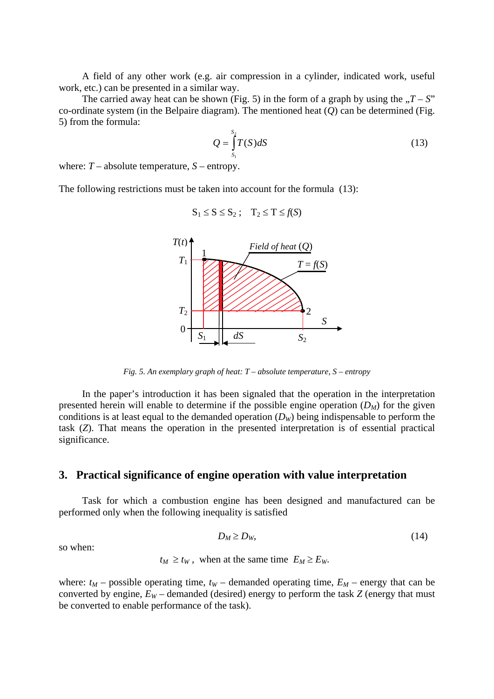A field of any other work (e.g. air compression in a cylinder, indicated work, useful work, etc.) can be presented in a similar way.

The carried away heat can be shown (Fig. 5) in the form of a graph by using the  $T - S$ " co-ordinate system (in the Belpaire diagram). The mentioned heat (*Q*) can be determined (Fig. 5) from the formula:

$$
Q = \int_{S_1}^{S_2} T(S) dS \tag{13}
$$

where:  $T$  – absolute temperature,  $S$  – entropy.

The following restrictions must be taken into account for the formula (13):

$$
S_1 \leq S \leq S_2 ; \quad T_2 \leq T \leq f(S)
$$



*Fig. 5. An exemplary graph of heat: T – absolute temperature, S – entropy* 

In the paper's introduction it has been signaled that the operation in the interpretation presented herein will enable to determine if the possible engine operation  $(D_M)$  for the given conditions is at least equal to the demanded operation (*DW*) being indispensable to perform the task (*Z*). That means the operation in the presented interpretation is of essential practical significance.

#### **3. Practical significance of engine operation with value interpretation**

Task for which a combustion engine has been designed and manufactured can be performed only when the following inequality is satisfied

$$
D_M \ge D_W,\tag{14}
$$

so when:

$$
t_M \ge t_W
$$
, when at the same time  $E_M \ge E_W$ .

where:  $t_M$  – possible operating time,  $t_W$  – demanded operating time,  $E_M$  – energy that can be converted by engine,  $E_W$  – demanded (desired) energy to perform the task  $Z$  (energy that must be converted to enable performance of the task).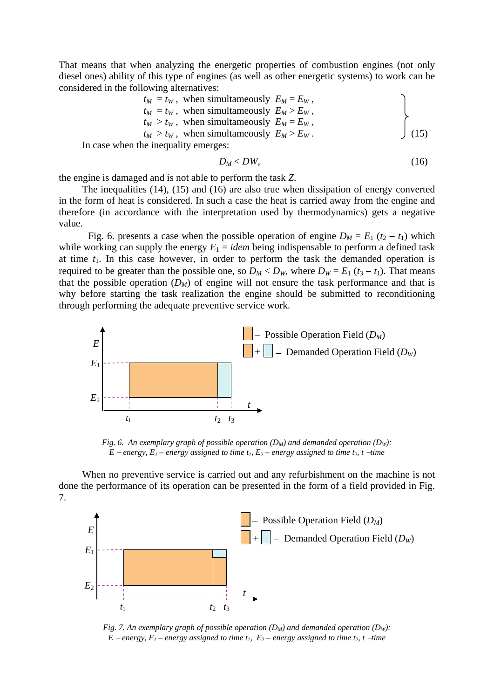That means that when analyzing the energetic properties of combustion engines (not only diesel ones) ability of this type of engines (as well as other energetic systems) to work can be considered in the following alternatives:

$$
t_M = t_W
$$
, when simultaneously  $E_M = E_W$ ,  
\n $t_M = t_W$ , when simultaneously  $E_M > E_W$ ,  
\n $t_M > t_W$ , when simultaneously  $E_M = E_W$ ,  
\n $t_M > t_W$ , when simultaneously  $E_M > E_W$ .  
\nWhen the inequality emerges: (15)

 $D_M < DW$ , (16)

the engine is damaged and is not able to perform the task *Z*.

In case

The inequalities (14), (15) and (16) are also true when dissipation of energy converted in the form of heat is considered. In such a case the heat is carried away from the engine and therefore (in accordance with the interpretation used by thermodynamics) gets a negative value.

Fig. 6. presents a case when the possible operation of engine  $D_M = E_1 (t_2 - t_1)$  which while working can supply the energy  $E_1 = id$ em being indispensable to perform a defined task at time  $t_1$ . In this case however, in order to perform the task the demanded operation is required to be greater than the possible one, so  $D_M < D_W$ , where  $D_W = E_1$  ( $t_3 - t_1$ ). That means that the possible operation  $(D_M)$  of engine will not ensure the task performance and that is why before starting the task realization the engine should be submitted to reconditioning through performing the adequate preventive service work.



*Fig. 6. An exemplary graph of possible operation*  $(D_M)$  and demanded operation  $(D_W)$ :  $E$  − *energy,*  $E_1$  − *energy assigned to time t<sub>1</sub>,*  $E_2$  − *energy assigned to time t<sub>2</sub>, t − time* 

When no preventive service is carried out and any refurbishment on the machine is not done the performance of its operation can be presented in the form of a field provided in Fig. 7.



*Fig. 7. An exemplary graph of possible operation*  $(D_M)$  and demanded operation  $(D_W)$ : *E* − *energy,*  $E_1$  − *energy assigned to time t<sub>1</sub>,*  $E_2$  − *energy assigned to time t<sub>2</sub>, t − time*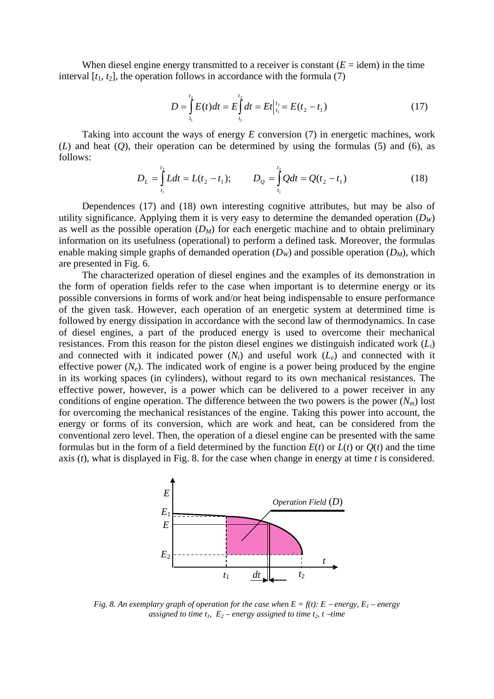When diesel engine energy transmitted to a receiver is constant  $(E = idem)$  in the time interval  $[t_1, t_2]$ , the operation follows in accordance with the formula  $(7)$ 

$$
D = \int_{t_1}^{t_2} E(t)dt = E \int_{t_1}^{t_2} dt = Et \Big|_{t_1}^{t_2} = E(t_2 - t_1)
$$
 (17)

Taking into account the ways of energy *E* conversion (7) in energetic machines, work (*L*) and heat (*O*), their operation can be determined by using the formulas (5) and (6), as follows:

$$
D_L = \int_{t_1}^{t_2} L dt = L(t_2 - t_1); \qquad D_Q = \int_{t_1}^{t_2} Q dt = Q(t_2 - t_1)
$$
 (18)

Dependences (17) and (18) own interesting cognitive attributes, but may be also of utility significance. Applying them it is very easy to determine the demanded operation  $(D<sub>W</sub>)$ as well as the possible operation  $(D_M)$  for each energetic machine and to obtain preliminary information on its usefulness (operational) to perform a defined task. Moreover, the formulas enable making simple graphs of demanded operation  $(D<sub>W</sub>)$  and possible operation  $(D<sub>M</sub>)$ , which are presented in Fig. 6.

The characterized operation of diesel engines and the examples of its demonstration in the form of operation fields refer to the case when important is to determine energy or its possible conversions in forms of work and/or heat being indispensable to ensure performance of the given task. However, each operation of an energetic system at determined time is followed by energy dissipation in accordance with the second law of thermodynamics. In case of diesel engines, a part of the produced energy is used to overcome their mechanical resistances. From this reason for the piston diesel engines we distinguish indicated work (*Li*) and connected with it indicated power  $(N_i)$  and useful work  $(L_e)$  and connected with it effective power  $(N_e)$ . The indicated work of engine is a power being produced by the engine in its working spaces (in cylinders), without regard to its own mechanical resistances. The effective power, however, is a power which can be delivered to a power receiver in any conditions of engine operation. The difference between the two powers is the power  $(N_m)$  lost for overcoming the mechanical resistances of the engine. Taking this power into account, the energy or forms of its conversion, which are work and heat, can be considered from the conventional zero level. Then, the operation of a diesel engine can be presented with the same formulas but in the form of a field determined by the function  $E(t)$  or  $L(t)$  or  $Q(t)$  and the time axis (*t*), what is displayed in Fig. 8. for the case when change in energy at time *t* is considered.



*Fig. 8. An exemplary graph of operation for the case when*  $E = f(t)$ :  $E$  – *energy*,  $E_1$  – *energy assigned to time t<sub>1</sub>,*  $E_2$  – energy assigned to time t<sub>2</sub>, t −*time*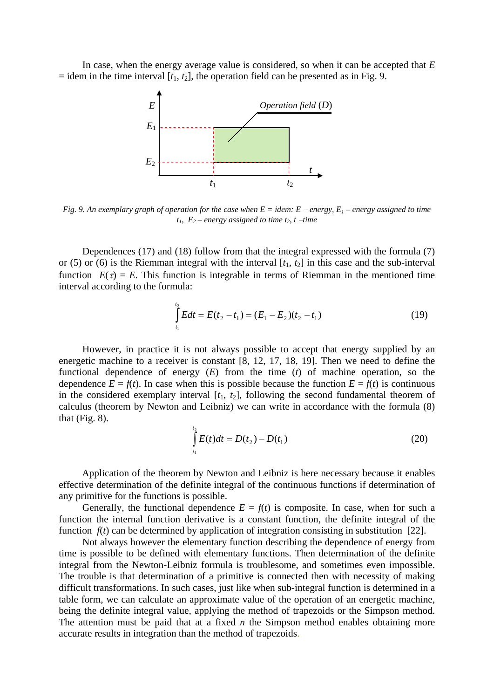In case, when the energy average value is considered, so when it can be accepted that *E*  $=$  idem in the time interval  $[t_1, t_2]$ , the operation field can be presented as in Fig. 9.



*Fig. 9. An exemplary graph of operation for the case when E = idem: E* <sup>−</sup> *energy, E1 – energy assigned to time*  $t_1$ ,  $E_2$  – energy assigned to time  $t_2$ ,  $t$  –*time* 

Dependences (17) and (18) follow from that the integral expressed with the formula (7) or (5) or (6) is the Riemman integral with the interval  $[t_1, t_2]$  in this case and the sub-interval function  $E(\tau) = E$ . This function is integrable in terms of Riemman in the mentioned time interval according to the formula:

$$
\int_{t_1}^{t_2} E dt = E(t_2 - t_1) = (E_1 - E_2)(t_2 - t_1)
$$
\n(19)

However, in practice it is not always possible to accept that energy supplied by an energetic machine to a receiver is constant [8, 12, 17, 18, 19]. Then we need to define the functional dependence of energy (*E*) from the time (*t*) of machine operation, so the dependence  $E = f(t)$ . In case when this is possible because the function  $E = f(t)$  is continuous in the considered exemplary interval  $[t_1, t_2]$ , following the second fundamental theorem of calculus (theorem by Newton and Leibniz) we can write in accordance with the formula (8) that  $(Fig. 8)$ .

$$
\int_{t_1}^{t_2} E(t)dt = D(t_2) - D(t_1)
$$
\n(20)

Application of the theorem by Newton and Leibniz is here necessary because it enables effective determination of the definite integral of the continuous functions if determination of any primitive for the functions is possible.

Generally, the functional dependence  $E = f(t)$  is composite. In case, when for such a function the internal function derivative is a constant function, the definite integral of the function  $f(t)$  can be determined by application of integration consisting in substitution [22].

Not always however the elementary function describing the dependence of energy from time is possible to be defined with elementary functions. Then determination of the definite integral from the Newton-Leibniz formula is troublesome, and sometimes even impossible. The trouble is that determination of a primitive is connected then with necessity of making difficult transformations. In such cases, just like when sub-integral function is determined in a table form, we can calculate an approximate value of the operation of an energetic machine, being the definite integral value, applying the method of trapezoids or the Simpson method. The attention must be paid that at a fixed *n* the Simpson method enables obtaining more accurate results in integration than the method of trapezoids.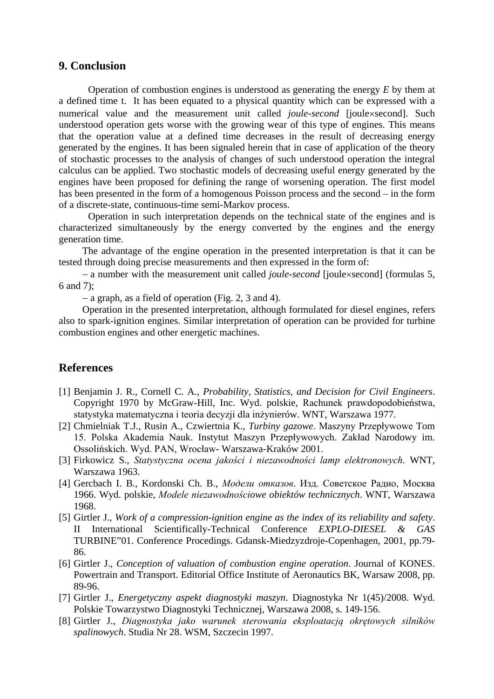### **9. Conclusion**

Operation of combustion engines is understood as generating the energy *E* by them at a defined time t. It has been equated to a physical quantity which can be expressed with a numerical value and the measurement unit called *joule-second* [joule×second]. Such understood operation gets worse with the growing wear of this type of engines. This means that the operation value at a defined time decreases in the result of decreasing energy generated by the engines. It has been signaled herein that in case of application of the theory of stochastic processes to the analysis of changes of such understood operation the integral calculus can be applied. Two stochastic models of decreasing useful energy generated by the engines have been proposed for defining the range of worsening operation. The first model has been presented in the form of a homogenous Poisson process and the second – in the form of a discrete-state, continuous-time semi-Markov process.

Operation in such interpretation depends on the technical state of the engines and is characterized simultaneously by the energy converted by the engines and the energy generation time.

The advantage of the engine operation in the presented interpretation is that it can be tested through doing precise measurements and then expressed in the form of:

− a number with the measurement unit called *joule-second* [joule×second] (formulas 5, 6 and 7);

− a graph, as a field of operation (Fig. 2, 3 and 4).

Operation in the presented interpretation, although formulated for diesel engines, refers also to spark-ignition engines. Similar interpretation of operation can be provided for turbine combustion engines and other energetic machines.

## **References**

- [1] Benjamin J. R., Cornell C. A*., Probability, Statistics, and Decision for Civil Engineers*. Copyright 1970 by McGraw-Hill, Inc. Wyd. polskie, Rachunek prawdopodobieństwa, statystyka matematyczna i teoria decyzji dla inżynierów. WNT, Warszawa 1977.
- [2] Chmielniak T.J., Rusin A., Czwiertnia K., *Turbiny gazowe*. Maszyny Przepływowe Tom 15. Polska Akademia Nauk. Instytut Maszyn Przepływowych. Zakład Narodowy im. Ossolińskich. Wyd. PAN, Wrocław- Warszawa-Kraków 2001.
- [3] Firkowicz S., *Statystyczna ocena jakości i niezawodności lamp elektronowych*. WNT, Warszawa 1963.
- [4] Gercbach I. B., Kordonski Ch. B., *Модели oтказов*. Изд. Советское Радио, Москва 1966. Wyd. polskie, *Modele niezawodnościowe obiektów technicznych*. WNT, Warszawa 1968.
- [5] Girtler J., *Work of a compression-ignition engine as the index of its reliability and safety*. II International Scientifically-Technical Conference *EXPLO-DIESEL & GAS*  TURBINE"01. Conference Procedings. Gdansk-Miedzyzdroje-Copenhagen, 2001, pp.79- 86.
- [6] Girtler J., *Conception of valuation of combustion engine operation*. Journal of KONES. Powertrain and Transport. Editorial Office Institute of Aeronautics BK, Warsaw 2008, pp. 89-96.
- [7] Girtler J., *Energetyczny aspekt diagnostyki maszyn*. Diagnostyka Nr 1(45)/2008. Wyd. Polskie Towarzystwo Diagnostyki Technicznej, Warszawa 2008, s. 149-156.
- [8] Girtler J., *Diagnostyka jako warunek sterowania eksploatacją okrętowych silników spalinowych*. Studia Nr 28. WSM, Szczecin 1997.